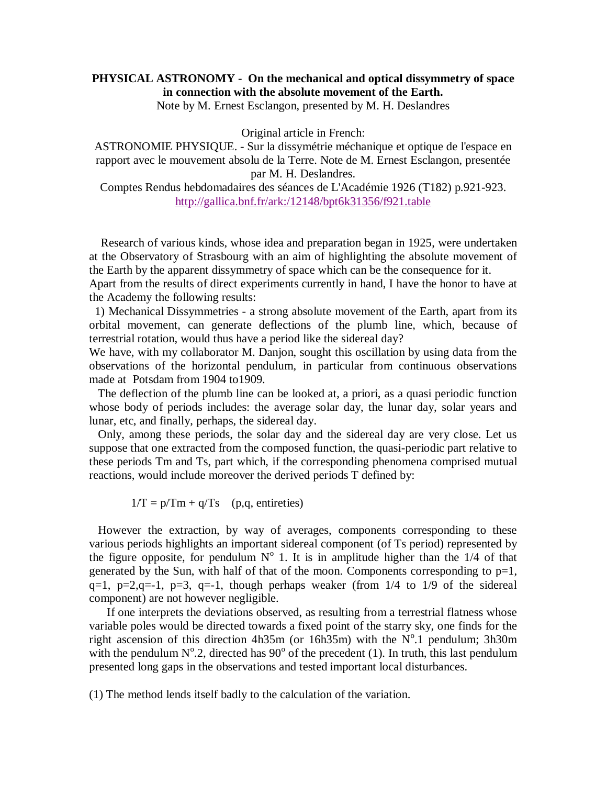## **PHYSICAL ASTRONOMY - On the mechanical and optical dissymmetry of space in connection with the absolute movement of the Earth.**

Note by M. Ernest Esclangon, presented by M. H. Deslandres

Original article in French:

ASTRONOMIE PHYSIQUE. - Sur la dissymétrie méchanique et optique de l'espace en rapport avec le mouvement absolu de la Terre. Note de M. Ernest Esclangon, presentée par M. H. Deslandres.

Comptes Rendus hebdomadaires des séances de L'Académie 1926 (T182) p.921-923. http://gallica.bnf.fr/ark:/12148/bpt6k31356/f921.table

 Research of various kinds, whose idea and preparation began in 1925, were undertaken at the Observatory of Strasbourg with an aim of highlighting the absolute movement of the Earth by the apparent dissymmetry of space which can be the consequence for it.

Apart from the results of direct experiments currently in hand, I have the honor to have at the Academy the following results:

 1) Mechanical Dissymmetries - a strong absolute movement of the Earth, apart from its orbital movement, can generate deflections of the plumb line, which, because of terrestrial rotation, would thus have a period like the sidereal day?

We have, with my collaborator M. Danjon, sought this oscillation by using data from the observations of the horizontal pendulum, in particular from continuous observations made at Potsdam from 1904 to1909.

 The deflection of the plumb line can be looked at, a priori, as a quasi periodic function whose body of periods includes: the average solar day, the lunar day, solar years and lunar, etc, and finally, perhaps, the sidereal day.

 Only, among these periods, the solar day and the sidereal day are very close. Let us suppose that one extracted from the composed function, the quasi-periodic part relative to these periods Tm and Ts, part which, if the corresponding phenomena comprised mutual reactions, would include moreover the derived periods T defined by:

 $1/T = p/Tm + q/Ts$  (p,q, entireties)

 However the extraction, by way of averages, components corresponding to these various periods highlights an important sidereal component (of Ts period) represented by the figure opposite, for pendulum  $N^{\circ}$  1. It is in amplitude higher than the 1/4 of that generated by the Sun, with half of that of the moon. Components corresponding to  $p=1$ ,  $q=1$ ,  $p=2$ ,  $q=-1$ ,  $p=3$ ,  $q=-1$ , though perhaps weaker (from  $1/4$  to  $1/9$  of the sidereal component) are not however negligible.

 If one interprets the deviations observed, as resulting from a terrestrial flatness whose variable poles would be directed towards a fixed point of the starry sky, one finds for the right ascension of this direction  $4h35m$  (or  $16h35m$ ) with the N°.1 pendulum;  $3h30m$ with the pendulum  $N^{\circ}$ .2, directed has 90 $^{\circ}$  of the precedent (1). In truth, this last pendulum presented long gaps in the observations and tested important local disturbances.

(1) The method lends itself badly to the calculation of the variation.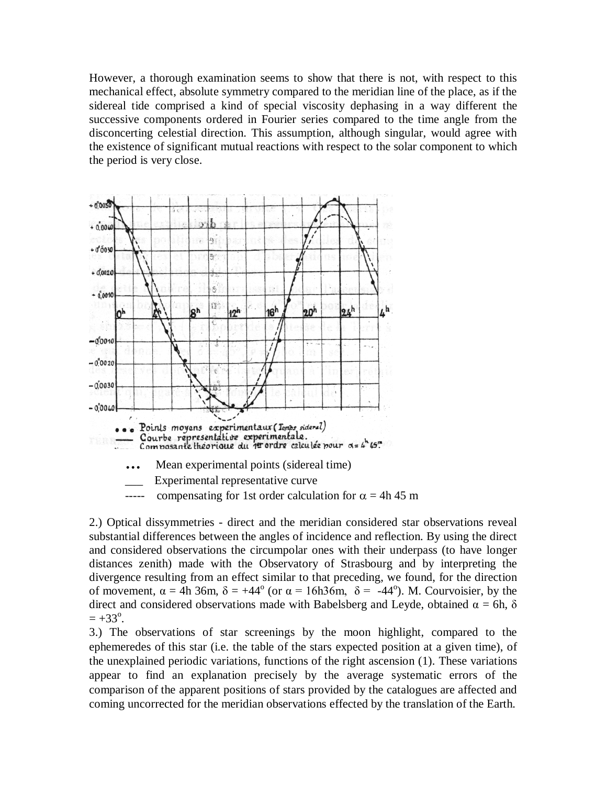However, a thorough examination seems to show that there is not, with respect to this mechanical effect, absolute symmetry compared to the meridian line of the place, as if the sidereal tide comprised a kind of special viscosity dephasing in a way different the successive components ordered in Fourier series compared to the time angle from the disconcerting celestial direction. This assumption, although singular, would agree with the existence of significant mutual reactions with respect to the solar component to which the period is very close.



2.) Optical dissymmetries - direct and the meridian considered star observations reveal substantial differences between the angles of incidence and reflection. By using the direct and considered observations the circumpolar ones with their underpass (to have longer distances zenith) made with the Observatory of Strasbourg and by interpreting the divergence resulting from an effect similar to that preceding, we found, for the direction of movement,  $\alpha = 4h$  36m,  $\delta = +44^{\circ}$  (or  $\alpha = 16h36m$ ,  $\delta = -44^{\circ}$ ). M. Courvoisier, by the direct and considered observations made with Babelsberg and Leyde, obtained  $\alpha = 6h$ ,  $\delta$  $= +33^{\circ}.$ 

3.) The observations of star screenings by the moon highlight, compared to the ephemeredes of this star (i.e. the table of the stars expected position at a given time), of the unexplained periodic variations, functions of the right ascension (1). These variations appear to find an explanation precisely by the average systematic errors of the comparison of the apparent positions of stars provided by the catalogues are affected and coming uncorrected for the meridian observations effected by the translation of the Earth.